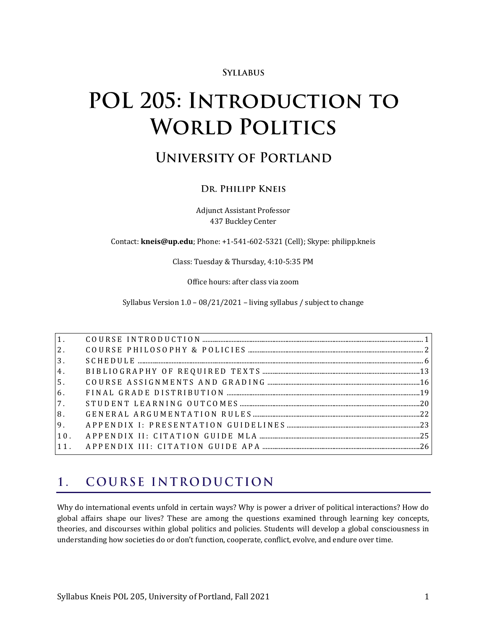#### **SYLLABUS**

# POL 205: INTRODUCTION TO **WORLD POLITICS**

## **UNIVERSITY OF PORTLAND**

### DR. PHILIPP KNEIS

Adjunct Assistant Professor 437 Buckley Center

Contact: **kneis@up.edu**; Phone: +1-541-602-5321 (Cell); Skype: philipp.kneis

Class: Tuesday & Thursday, 4:10-5:35 PM

Office hours: after class via zoom

Syllabus Version 1.0 – 08/21/2021 – living syllabus / subject to change

| 3 <sub>1</sub> |  |
|----------------|--|
| 4.             |  |
| 5 <sub>1</sub> |  |
| 6.             |  |
| 7.             |  |
| 8.             |  |
|                |  |
| 10.            |  |
|                |  |

#### <span id="page-0-0"></span>COURSE INTRODUCTION  $1.$

Why do international events unfold in certain ways? Why is power a driver of political interactions? How do global affairs shape our lives? These are among the questions examined through learning key concepts, theories, and discourses within global politics and policies. Students will develop a global consciousness in understanding how societies do or don't function, cooperate, conflict, evolve, and endure over time.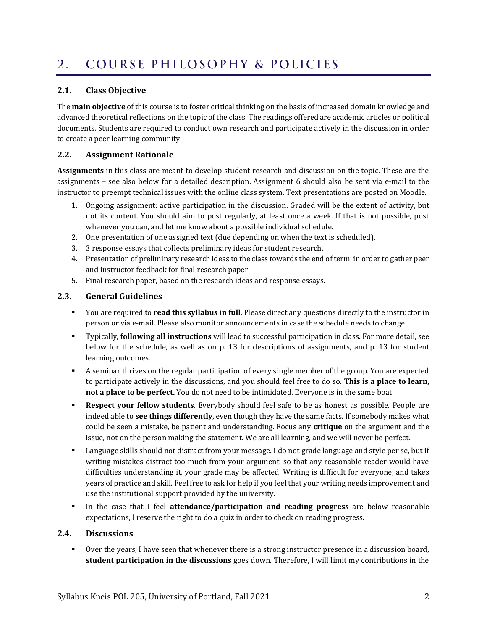#### <span id="page-1-0"></span>COURSE PHILOSOPHY & POLICIES  $2.$

#### **2.1. Class Objective**

The **main objective** of this course is to foster critical thinking on the basis of increased domain knowledge and advanced theoretical reflections on the topic of the class. The readings offered are academic articles or political documents. Students are required to conduct own research and participate actively in the discussion in order to create a peer learning community.

#### **2.2. Assignment Rationale**

**Assignments** in this class are meant to develop student research and discussion on the topic. These are the assignments – see also below for a detailed description. Assignment 6 should also be sent via e-mail to the instructor to preempt technical issues with the online class system. Text presentations are posted on Moodle.

- 1. Ongoing assignment: active participation in the discussion. Graded will be the extent of activity, but not its content. You should aim to post regularly, at least once a week. If that is not possible, post whenever you can, and let me know about a possible individual schedule.
- 2. One presentation of one assigned text (due depending on when the text is scheduled).
- 3. 3 response essays that collects preliminary ideas for student research.
- 4. Presentation of preliminary research ideas to the class towards the end of term, in order to gather peer and instructor feedback for final research paper.
- 5. Final research paper, based on the research ideas and response essays.

#### **2.3. General Guidelines**

- You are required to **read this syllabus in full**. Please direct any questions directly to the instructor in person or via e-mail. Please also monitor announcements in case the schedule needs to change.
- Typically, **following all instructions** will lead to successful participation in class. For more detail, see below for the schedule, as well as on p. [13](#page-12-1) for descriptions of assignments, and p. [13](#page-12-1) for student learning outcomes.
- A seminar thrives on the regular participation of every single member of the group. You are expected to participate actively in the discussions, and you should feel free to do so. **This is a place to learn, not a place to be perfect.** You do not need to be intimidated. Everyone is in the same boat.
- **Respect your fellow students**. Everybody should feel safe to be as honest as possible. People are indeed able to **see things differently**, even though they have the same facts. If somebody makes what could be seen a mistake, be patient and understanding. Focus any **critique** on the argument and the issue, not on the person making the statement. We are all learning, and we will never be perfect.
- Language skills should not distract from your message. I do not grade language and style per se, but if writing mistakes distract too much from your argument, so that any reasonable reader would have difficulties understanding it, your grade may be affected. Writing is difficult for everyone, and takes years of practice and skill. Feel free to ask for help if you feel that your writing needs improvement and use the institutional support provided by the university.
- In the case that I feel **attendance/participation and reading progress** are below reasonable expectations, I reserve the right to do a quiz in order to check on reading progress.

#### **2.4. Discussions**

▪ Over the years, I have seen that whenever there is a strong instructor presence in a discussion board, **student participation in the discussions** goes down. Therefore, I will limit my contributions in the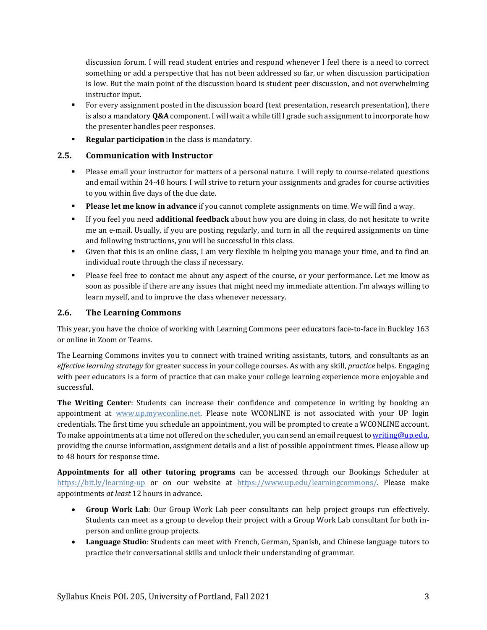discussion forum. I will read student entries and respond whenever I feel there is a need to correct something or add a perspective that has not been addressed so far, or when discussion participation is low. But the main point of the discussion board is student peer discussion, and not overwhelming instructor input.

- For every assignment posted in the discussion board (text presentation, research presentation), there is also a mandatory **Q&A** component. I will wait a while till I grade such assignment to incorporate how the presenter handles peer responses.
- **Regular participation** in the class is mandatory.

#### **2.5. Communication with Instructor**

- Please email your instructor for matters of a personal nature. I will reply to course-related questions and email within 24-48 hours. I will strive to return your assignments and grades for course activities to you within five days of the due date.
- **Please let me know in advance** if you cannot complete assignments on time. We will find a way.
- If you feel you need **additional feedback** about how you are doing in class, do not hesitate to write me an e-mail. Usually, if you are posting regularly, and turn in all the required assignments on time and following instructions, you will be successful in this class.
- Given that this is an online class, I am very flexible in helping you manage your time, and to find an individual route through the class if necessary.
- Please feel free to contact me about any aspect of the course, or your performance. Let me know as soon as possible if there are any issues that might need my immediate attention. I'm always willing to learn myself, and to improve the class whenever necessary.

#### **2.6. The Learning Commons**

This year, you have the choice of working with Learning Commons peer educators face-to-face in Buckley 163 or online in Zoom or Teams.

The Learning Commons invites you to connect with trained writing assistants, tutors, and consultants as an *effective learning strategy* for greater success in your college courses. As with any skill, *practice* helps. Engaging with peer educators is a form of practice that can make your college learning experience more enjoyable and successful.

**The Writing Center**: Students can increase their confidence and competence in writing by booking an appointment at [www.up.mywconline.net.](http://www.up.mywconline.net/) Please note WCONLINE is not associated with your UP login credentials. The first time you schedule an appointment, you will be prompted to create a WCONLINE account. To make appointments at a time not offered on the scheduler, you can send an email request t[o writing@up.edu,](mailto:writing@up.edu) providing the course information, assignment details and a list of possible appointment times. Please allow up to 48 hours for response time.

**Appointments for all other tutoring programs** can be accessed through our Bookings Scheduler at <https://bit.ly/learning-up> or on our website at [https://www.up.edu/learningcommons/.](https://www.up.edu/learningcommons/) Please make appointments *at least* 12 hours in advance.

- **Group Work Lab**: Our Group Work Lab peer consultants can help project groups run effectively. Students can meet as a group to develop their project with a Group Work Lab consultant for both inperson and online group projects.
- **Language Studio**: Students can meet with French, German, Spanish, and Chinese language tutors to practice their conversational skills and unlock their understanding of grammar.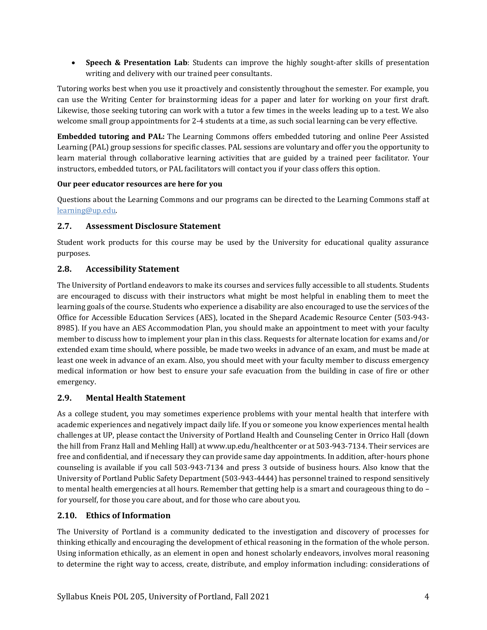• **Speech & Presentation Lab**: Students can improve the highly sought-after skills of presentation writing and delivery with our trained peer consultants.

Tutoring works best when you use it proactively and consistently throughout the semester. For example, you can use the Writing Center for brainstorming ideas for a paper and later for working on your first draft. Likewise, those seeking tutoring can work with a tutor a few times in the weeks leading up to a test. We also welcome small group appointments for 2-4 students at a time, as such social learning can be very effective.

**Embedded tutoring and PAL:** The Learning Commons offers embedded tutoring and online Peer Assisted Learning (PAL) group sessions for specific classes. PAL sessions are voluntary and offer you the opportunity to learn material through collaborative learning activities that are guided by a trained peer facilitator. Your instructors, embedded tutors, or PAL facilitators will contact you if your class offers this option.

#### **Our peer educator resources are here for you**

Questions about the Learning Commons and our programs can be directed to the Learning Commons staff at [learning@up.edu.](mailto:learning@up.edu) 

#### **2.7. Assessment Disclosure Statement**

Student work products for this course may be used by the University for educational quality assurance purposes.

#### **2.8. Accessibility Statement**

The University of Portland endeavors to make its courses and services fully accessible to all students. Students are encouraged to discuss with their instructors what might be most helpful in enabling them to meet the learning goals of the course. Students who experience a disability are also encouraged to use the services of the Office for Accessible Education Services (AES), located in the Shepard Academic Resource Center (503-943- 8985). If you have an AES Accommodation Plan, you should make an appointment to meet with your faculty member to discuss how to implement your plan in this class. Requests for alternate location for exams and/or extended exam time should, where possible, be made two weeks in advance of an exam, and must be made at least one week in advance of an exam. Also, you should meet with your faculty member to discuss emergency medical information or how best to ensure your safe evacuation from the building in case of fire or other emergency.

#### **2.9. Mental Health Statement**

As a college student, you may sometimes experience problems with your mental health that interfere with academic experiences and negatively impact daily life. If you or someone you know experiences mental health challenges at UP, please contact the University of Portland Health and Counseling Center in Orrico Hall (down the hill from Franz Hall and Mehling Hall) a[t www.up.edu/healthcenter](http://www.up.edu/healthcenter) or at 503-943-7134. Their services are free and confidential, and if necessary they can provide same day appointments. In addition, after-hours phone counseling is available if you call 503-943-7134 and press 3 outside of business hours. Also know that the University of Portland Public Safety Department (503-943-4444) has personnel trained to respond sensitively to mental health emergencies at all hours. Remember that getting help is a smart and courageous thing to do – for yourself, for those you care about, and for those who care about you.

#### **2.10. Ethics of Information**

The University of Portland is a community dedicated to the investigation and discovery of processes for thinking ethically and encouraging the development of ethical reasoning in the formation of the whole person. Using information ethically, as an element in open and honest scholarly endeavors, involves moral reasoning to determine the right way to access, create, distribute, and employ information including: considerations of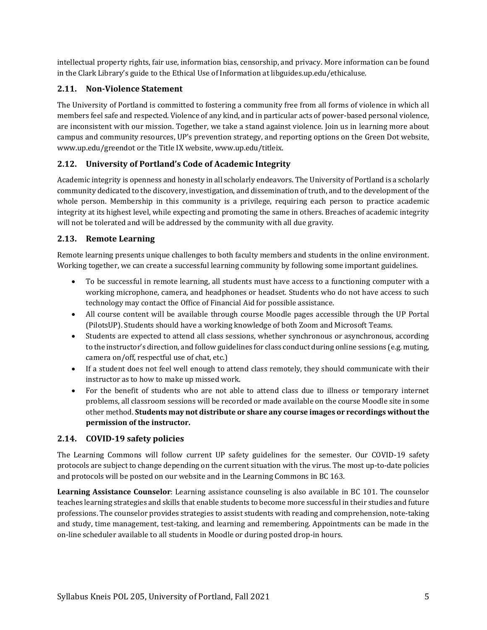intellectual property rights, fair use, information bias, censorship, and privacy. More information can be found in the Clark Library's guide to the [Ethical Use of Information](https://libguides.up.edu/ethicaluse/) at [libguides.up.edu/ethicaluse.](https://libguides.up.edu/ethicaluse/)

#### **2.11. Non-Violence Statement**

The University of Portland is committed to fostering a community free from all forms of violence in which all members feel safe and respected. Violence of any kind, and in particular acts of power-based personal violence, are inconsistent with our mission. Together, we take a stand against violence. Join us in learning more about campus and community resources, UP's prevention strategy, and reporting options on the [Green Dot website,](https://www.up.edu/greendot/) [www.up.edu/greendot](https://www.up.edu/greendot/) or the [Title IX website,](https://www.up.edu/titleix/) [www.up.edu/titleix.](https://www.up.edu/titleix/)

### **2.12. University of Portland's Code of Academic Integrity**

Academic integrity is openness and honesty in all scholarly endeavors. The University of Portland is a scholarly community dedicated to the discovery, investigation, and dissemination of truth, and to the development of the whole person. Membership in this community is a privilege, requiring each person to practice academic integrity at its highest level, while expecting and promoting the same in others. Breaches of academic integrity will not be tolerated and will be addressed by the community with all due gravity.

#### **2.13. Remote Learning**

Remote learning presents unique challenges to both faculty members and students in the online environment. Working together, we can create a successful learning community by following some important guidelines.

- To be successful in remote learning, all students must have access to a functioning computer with a working microphone, camera, and headphones or headset. Students who do not have access to such technology may contact the Office of Financial Aid for possible assistance.
- All course content will be available through course Moodle pages accessible through the UP Portal (PilotsUP). Students should have a working knowledge of both Zoom and Microsoft Teams.
- Students are expected to attend all class sessions, whether synchronous or asynchronous, according to the instructor's direction, and follow guidelines for class conduct during online sessions (e.g. muting, camera on/off, respectful use of chat, etc.)
- If a student does not feel well enough to attend class remotely, they should communicate with their instructor as to how to make up missed work.
- For the benefit of students who are not able to attend class due to illness or temporary internet problems, all classroom sessions will be recorded or made available on the course Moodle site in some other method. **Students may not distribute or share any course images or recordings without the permission of the instructor.**

#### **2.14. COVID-19 safety policies**

The Learning Commons will follow current UP safety guidelines for the semester. Our COVID-19 safety protocols are subject to change depending on the current situation with the virus. The most up-to-date policies and protocols will be posted on our website and in the Learning Commons in BC 163.

**Learning Assistance Counselor**: Learning assistance counseling is also available in BC 101. The counselor teaches learning strategies and skills that enable students to become more successful in their studies and future professions. The counselor provides strategies to assist students with reading and comprehension, note-taking and study, time management, test-taking, and learning and remembering. Appointments can be made in the on-line scheduler available to all students in Moodle or during posted drop-in hours.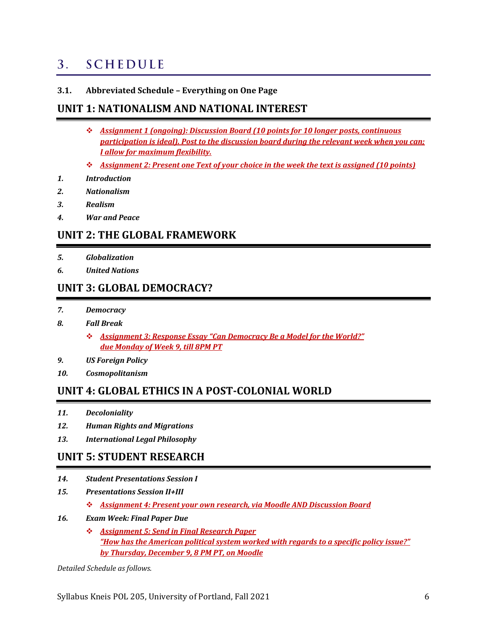#### <span id="page-5-0"></span>**SCHEDULE**  $3<sub>1</sub>$

**3.1. Abbreviated Schedule – Everything on One Page**

### **UNIT 1: NATIONALISM AND NATIONAL INTEREST**

- ❖ *Assignment 1 (ongoing): Discussion Board (10 points for 10 longer posts, continuous participation is ideal). Post to the discussion board during the relevant week when you can; I allow for maximum flexibility.*
- ❖ *Assignment 2: Present one Text of your choice in the week the text is assigned (10 points)*
- *1. Introduction*
- *2. Nationalism*
- *3. Realism*
- *4. War and Peace*

### **UNIT 2: THE GLOBAL FRAMEWORK**

- *5. Globalization*
- *6. United Nations*

### **UNIT 3: GLOBAL DEMOCRACY?**

- *7. Democracy*
- *8. Fall Break*
	- ❖ *Assignment 3: Response Essay "Can Democracy Be a Model for the World?" due Monday of Week 9, till 8PM PT*
- *9. US Foreign Policy*
- *10. Cosmopolitanism*

### **UNIT 4: GLOBAL ETHICS IN A POST-COLONIAL WORLD**

- *11. Decoloniality*
- *12. Human Rights and Migrations*
- *13. International Legal Philosophy*

### **UNIT 5: STUDENT RESEARCH**

- *14. Student Presentations Session I*
- *15. Presentations Session II+III*
	- ❖ *Assignment 4: Present your own research, via Moodle AND Discussion Board*
- *16. Exam Week: Final Paper Due*
	- ❖ *Assignment 5: Send in Final Research Paper "How has the American political system worked with regards to a specific policy issue?" by Thursday, December 9, 8 PM PT, on Moodle*

*Detailed Schedule as follows.*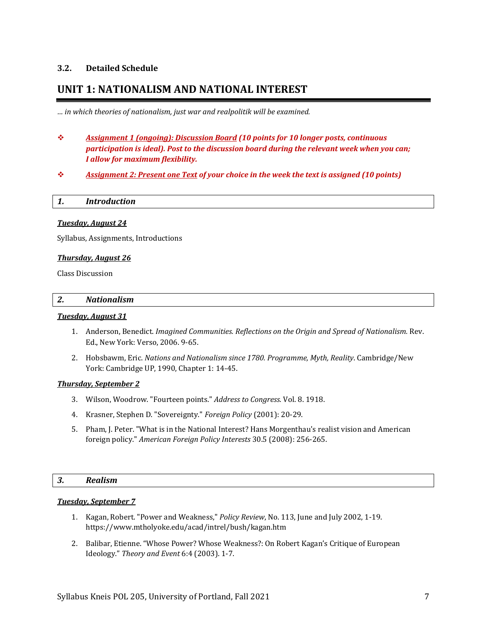#### **3.2. Detailed Schedule**

### **UNIT 1: NATIONALISM AND NATIONAL INTEREST**

*… in which theories of nationalism, just war and realpolitik will be examined.*

- ❖ *Assignment 1 (ongoing): Discussion Board (10 points for 10 longer posts, continuous participation is ideal). Post to the discussion board during the relevant week when you can; I allow for maximum flexibility.*
- ❖ *Assignment 2: Present one Text of your choice in the week the text is assigned (10 points)*

|  | <b>Introduction</b> |  |  |  |  |
|--|---------------------|--|--|--|--|
|--|---------------------|--|--|--|--|

#### *Tuesday, August 24*

Syllabus, Assignments, Introductions

#### *Thursday, August 26*

Class Discussion

#### *2. Nationalism*

#### *Tuesday, August 31*

- 1. Anderson, Benedict. *Imagined Communities. Reflections on the Origin and Spread of Nationalism.* Rev. Ed., New York: Verso, 2006. 9-65.
- 2. Hobsbawm, Eric. *Nations and Nationalism since 1780. Programme, Myth, Reality*. Cambridge/New York: Cambridge UP, 1990, Chapter 1: 14-45.

#### *Thursday, September 2*

- 3. Wilson, Woodrow. "Fourteen points." *Address to Congress.* Vol. 8. 1918.
- 4. Krasner, Stephen D. "Sovereignty." *Foreign Policy* (2001): 20-29.
- 5. Pham, J. Peter. "What is in the National Interest? Hans Morgenthau's realist vision and American foreign policy." *American Foreign Policy Interests* 30.5 (2008): 256-265.

#### *3. Realism*

#### *Tuesday, September 7*

- 1. Kagan, Robert. "Power and Weakness," *Policy Review*, No. 113, June and July 2002, 1-19. https://www.mtholyoke.edu/acad/intrel/bush/kagan.htm
- 2. Balibar, Etienne. "Whose Power? Whose Weakness?: On Robert Kagan's Critique of European Ideology." *Theory and Event* 6:4 (2003). 1-7.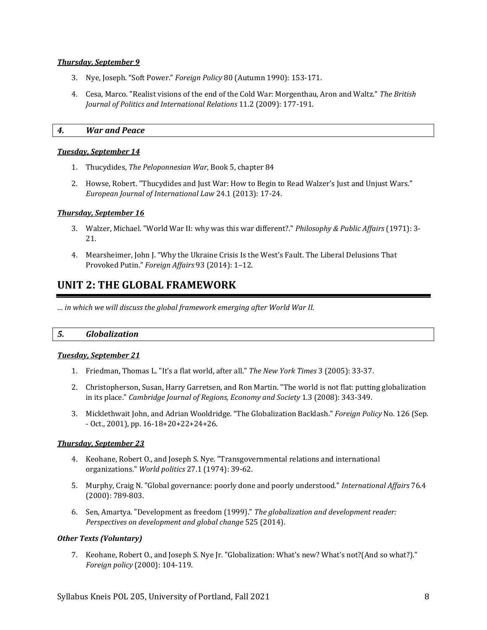#### *Thursday, September 9*

- 3. Nye, Joseph. "Soft Power." *Foreign Policy* 80 (Autumn 1990): 153-171.
- 4. Cesa, Marco. "Realist visions of the end of the Cold War: Morgenthau, Aron and Waltz." *The British Journal of Politics and International Relations* 11.2 (2009): 177-191.

#### *4. War and Peace*

#### *Tuesday, September 14*

- 1. Thucydides, *The Peloponnesian War*, Book 5, chapter 84
- 2. Howse, Robert. "Thucydides and Just War: How to Begin to Read Walzer's Just and Unjust Wars." *European Journal of International Law* 24.1 (2013): 17-24.

#### *Thursday, September 16*

- 3. Walzer, Michael. "World War II: why was this war different?." *Philosophy & Public Affairs* (1971): 3- 21.
- 4. Mearsheimer, John J. "Why the Ukraine Crisis Is the West's Fault. The Liberal Delusions That Provoked Putin." *Foreign Affairs* 93 (2014): 1–12.

### **UNIT 2: THE GLOBAL FRAMEWORK**

*… in which we will discuss the global framework emerging after World War II.*

#### *5. Globalization*

#### *Tuesday, September 21*

- 1. Friedman, Thomas L. "It's a flat world, after all." *The New York Times* 3 (2005): 33-37.
- 2. Christopherson, Susan, Harry Garretsen, and Ron Martin. "The world is not flat: putting globalization in its place." *Cambridge Journal of Regions, Economy and Society* 1.3 (2008): 343-349.
- 3. Micklethwait John, and Adrian Wooldridge. "The Globalization Backlash." *Foreign Policy* No. 126 (Sep. - Oct., 2001), pp. 16-18+20+22+24+26.

#### *Thursday, September 23*

- 4. Keohane, Robert O., and Joseph S. Nye. "Transgovernmental relations and international organizations." *World politics* 27.1 (1974): 39-62.
- 5. Murphy, Craig N. "Global governance: poorly done and poorly understood." *International Affairs* 76.4 (2000): 789-803.
- 6. Sen, Amartya. "Development as freedom (1999)." *The globalization and development reader: Perspectives on development and global change* 525 (2014).

#### *Other Texts (Voluntary)*

7. Keohane, Robert O., and Joseph S. Nye Jr. "Globalization: What's new? What's not?(And so what?)." *Foreign policy* (2000): 104-119.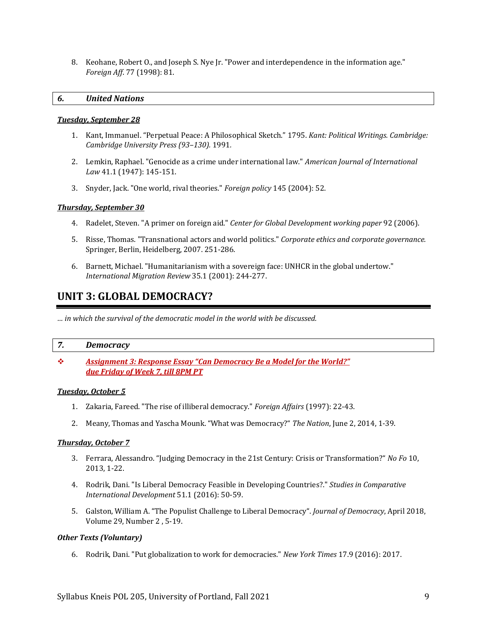8. Keohane, Robert O., and Joseph S. Nye Jr. "Power and interdependence in the information age." *Foreign Aff*. 77 (1998): 81.

#### *6. United Nations*

#### *Tuesday, September 28*

- 1. Kant, Immanuel. "Perpetual Peace: A Philosophical Sketch." 1795. *Kant: Political Writings. Cambridge: Cambridge University Press (93–130).* 1991*.*
- 2. Lemkin, Raphael. "Genocide as a crime under international law." *American Journal of International Law* 41.1 (1947): 145-151.
- 3. Snyder, Jack. "One world, rival theories." *Foreign policy* 145 (2004): 52.

#### *Thursday, September 30*

- 4. Radelet, Steven. "A primer on foreign aid." *Center for Global Development working paper* 92 (2006).
- 5. Risse, Thomas. "Transnational actors and world politics." *Corporate ethics and corporate governance.* Springer, Berlin, Heidelberg, 2007. 251-286.
- 6. Barnett, Michael. "Humanitarianism with a sovereign face: UNHCR in the global undertow." *International Migration Review* 35.1 (2001): 244-277.

### **UNIT 3: GLOBAL DEMOCRACY?**

*… in which the survival of the democratic model in the world with be discussed.*

#### *7. Democracy*

❖ *Assignment 3: Response Essay "Can Democracy Be a Model for the World?" due Friday of Week 7, till 8PM PT*

#### *Tuesday, October 5*

- 1. Zakaria, Fareed. "The rise of illiberal democracy." *Foreign Affairs* (1997): 22-43.
- 2. Meany, Thomas and Yascha Mounk. "What was Democracy?" *The Nation*, June 2, 2014, 1-39.

#### *Thursday, October 7*

- 3. Ferrara, Alessandro. "Judging Democracy in the 21st Century: Crisis or Transformation?" *No Fo* 10, 2013, 1-22.
- 4. Rodrik, Dani. "Is Liberal Democracy Feasible in Developing Countries?." *Studies in Comparative International Development* 51.1 (2016): 50-59.
- 5. Galston, William A. "The Populist Challenge to Liberal Democracy". *Journal of Democracy*, April 2018, Volume 29, Number 2 , 5-19.

#### *Other Texts (Voluntary)*

6. Rodrik, Dani. "Put globalization to work for democracies." *New York Times* 17.9 (2016): 2017.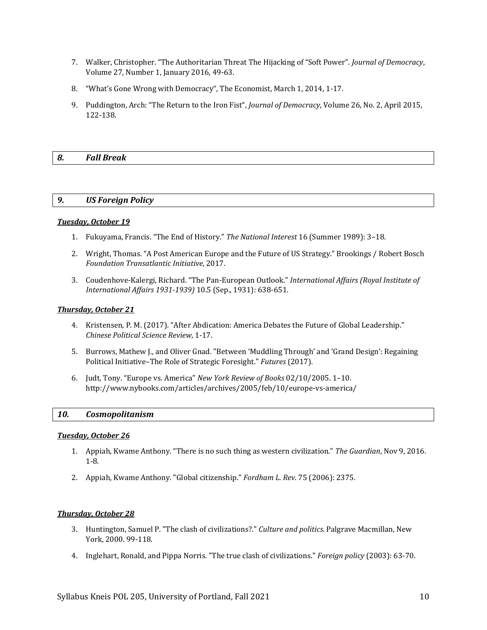- 7. Walker, Christopher. "The Authoritarian Threat The Hijacking of "Soft Power". *Journal of Democracy*, Volume 27, Number 1, January 2016, 49-63.
- 8. "What's Gone Wrong with Democracy", The Economist, March 1, 2014, 1-17.
- 9. Puddington, Arch: "The Return to the Iron Fist", *Journal of Democracy*, Volume 26, No. 2, April 2015, 122-138.

#### *8. Fall Break*

#### *9. US Foreign Policy*

#### *Tuesday, October 19*

- 1. Fukuyama, Francis. "The End of History." *The National Interest* 16 (Summer 1989): 3–18.
- 2. Wright, Thomas. "A Post American Europe and the Future of US Strategy." Brookings / Robert Bosch *Foundation Transatlantic Initiative*, 2017.
- 3. Coudenhove-Kalergi, Richard. "The Pan-European Outlook." *International Affairs (Royal Institute of International Affairs 1931-1939)* 10.5 (Sep., 1931): 638-651.

#### *Thursday, October 21*

- 4. Kristensen, P. M. (2017). "After Abdication: America Debates the Future of Global Leadership." *Chinese Political Science Review*, 1-17.
- 5. Burrows, Mathew J., and Oliver Gnad. "Between 'Muddling Through' and 'Grand Design': Regaining Political Initiative–The Role of Strategic Foresight." *Futures* (2017).
- 6. Judt, Tony. "Europe vs. America" *New York Review of Books* 02/10/2005. 1–10. http://www.nybooks.com/articles/archives/2005/feb/10/europe-vs-america/

#### *10. Cosmopolitanism*

#### *Tuesday, October 26*

- 1. Appiah, Kwame Anthony. "There is no such thing as western civilization." *The Guardian*, Nov 9, 2016. 1-8.
- 2. Appiah, Kwame Anthony. "Global citizenship." *Fordham L. Rev*. 75 (2006): 2375.

#### *Thursday, October 28*

- 3. Huntington, Samuel P. "The clash of civilizations?." *Culture and politics*. Palgrave Macmillan, New York, 2000. 99-118.
- 4. Inglehart, Ronald, and Pippa Norris. "The true clash of civilizations." *Foreign policy* (2003): 63-70.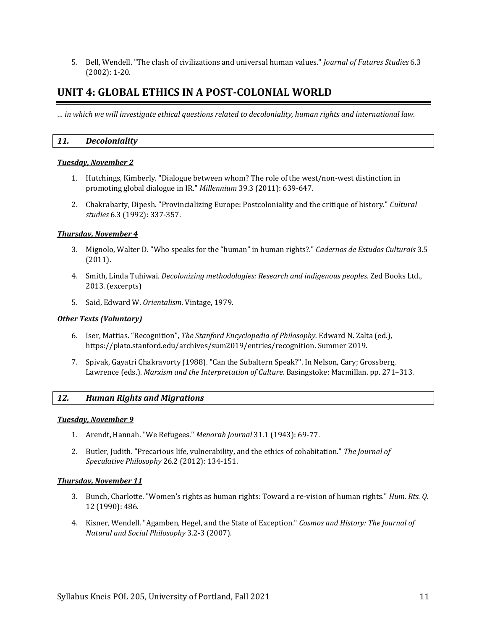5. Bell, Wendell. "The clash of civilizations and universal human values." *Journal of Futures Studies* 6.3 (2002): 1-20.

### **UNIT 4: GLOBAL ETHICS IN A POST-COLONIAL WORLD**

*… in which we will investigate ethical questions related to decoloniality, human rights and international law.*

#### *11. Decoloniality*

#### *Tuesday, November 2*

- 1. Hutchings, Kimberly. "Dialogue between whom? The role of the west/non-west distinction in promoting global dialogue in IR." *Millennium* 39.3 (2011): 639-647.
- 2. Chakrabarty, Dipesh. "Provincializing Europe: Postcoloniality and the critique of history." *Cultural studies* 6.3 (1992): 337-357.

#### *Thursday, November 4*

- 3. Mignolo, Walter D. "Who speaks for the "human" in human rights?." *Cadernos de Estudos Culturais* 3.5 (2011).
- 4. Smith, Linda Tuhiwai. *Decolonizing methodologies: Research and indigenous peoples*. Zed Books Ltd., 2013. (excerpts)
- 5. Said, Edward W. *Orientalism*. Vintage, 1979.

#### *Other Texts (Voluntary)*

- 6. Iser, Mattias. "Recognition", *The Stanford Encyclopedia of Philosophy.* Edward N. Zalta (ed.), https://plato.stanford.edu/archives/sum2019/entries/recognition. Summer 2019.
- 7. Spivak, Gayatri Chakravorty (1988). "Can the Subaltern Speak?". In Nelson, Cary; Grossberg, Lawrence (eds.). *Marxism and the Interpretation of Culture.* Basingstoke: Macmillan. pp. 271–313.

#### *12. Human Rights and Migrations*

#### *Tuesday, November 9*

- 1. Arendt, Hannah. "We Refugees." *Menorah Journal* 31.1 (1943): 69-77.
- 2. Butler, Judith. "Precarious life, vulnerability, and the ethics of cohabitation." *The Journal of Speculative Philosophy* 26.2 (2012): 134-151.

#### *Thursday, November 11*

- 3. Bunch, Charlotte. "Women's rights as human rights: Toward a re-vision of human rights." *Hum. Rts. Q.* 12 (1990): 486.
- 4. Kisner, Wendell. "Agamben, Hegel, and the State of Exception." *Cosmos and History: The Journal of Natural and Social Philosophy* 3.2-3 (2007).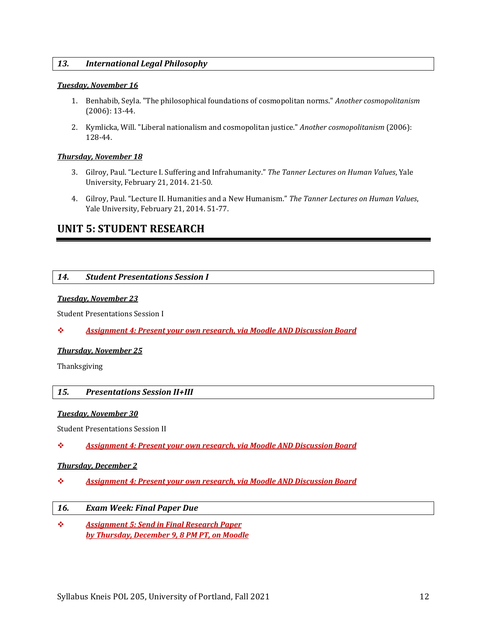#### *13. International Legal Philosophy*

#### *Tuesday, November 16*

- 1. Benhabib, Seyla. "The philosophical foundations of cosmopolitan norms." *Another cosmopolitanism* (2006): 13-44.
- 2. Kymlicka, Will. "Liberal nationalism and cosmopolitan justice." *Another cosmopolitanism* (2006): 128-44.

#### *Thursday, November 18*

- 3. Gilroy, Paul. "Lecture I. Suffering and Infrahumanity." *The Tanner Lectures on Human Values*, Yale University, February 21, 2014. 21-50.
- 4. Gilroy, Paul. "Lecture II. Humanities and a New Humanism." *The Tanner Lectures on Human Values*, Yale University, February 21, 2014. 51-77.

### **UNIT 5: STUDENT RESEARCH**

#### *14. Student Presentations Session I*

#### *Tuesday, November 23*

Student Presentations Session I

#### ❖ *Assignment 4: Present your own research, via Moodle AND Discussion Board*

#### *Thursday, November 25*

Thanksgiving

#### *15. Presentations Session II+III*

#### *Tuesday, November 30*

Student Presentations Session II

❖ *Assignment 4: Present your own research, via Moodle AND Discussion Board*

#### *Thursday, December 2*

- ❖ *Assignment 4: Present your own research, via Moodle AND Discussion Board*
- *16. Exam Week: Final Paper Due*
- ❖ *Assignment 5: Send in Final Research Paper by Thursday, December 9, 8 PM PT, on Moodle*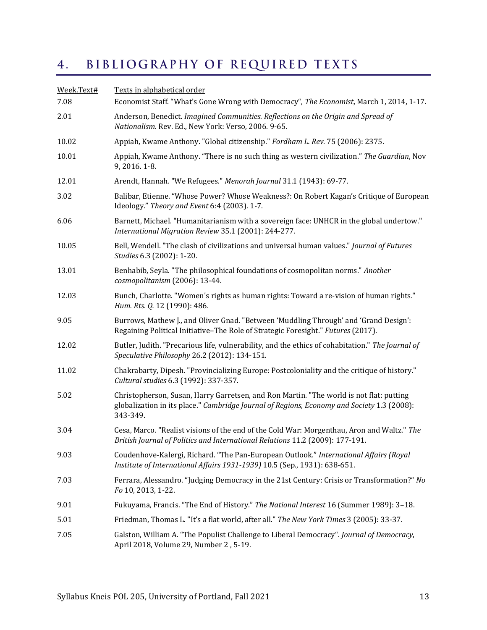#### <span id="page-12-0"></span> $\overline{4}$ . BIBLIOGRAPHY OF REQUIRED TEXTS

<span id="page-12-1"></span>

| Week.Text#<br>7.08 | Texts in alphabetical order<br>Economist Staff. "What's Gone Wrong with Democracy", The Economist, March 1, 2014, 1-17.                                                                           |
|--------------------|---------------------------------------------------------------------------------------------------------------------------------------------------------------------------------------------------|
| 2.01               | Anderson, Benedict. Imagined Communities. Reflections on the Origin and Spread of<br>Nationalism. Rev. Ed., New York: Verso, 2006. 9-65.                                                          |
| 10.02              | Appiah, Kwame Anthony. "Global citizenship." Fordham L. Rev. 75 (2006): 2375.                                                                                                                     |
| 10.01              | Appiah, Kwame Anthony. "There is no such thing as western civilization." The Guardian, Nov<br>9, 2016. 1-8.                                                                                       |
| 12.01              | Arendt, Hannah. "We Refugees." Menorah Journal 31.1 (1943): 69-77.                                                                                                                                |
| 3.02               | Balibar, Etienne. "Whose Power? Whose Weakness?: On Robert Kagan's Critique of European<br>Ideology." Theory and Event 6:4 (2003). 1-7.                                                           |
| 6.06               | Barnett, Michael. "Humanitarianism with a sovereign face: UNHCR in the global undertow."<br>International Migration Review 35.1 (2001): 244-277.                                                  |
| 10.05              | Bell, Wendell. "The clash of civilizations and universal human values." Journal of Futures<br>Studies 6.3 (2002): 1-20.                                                                           |
| 13.01              | Benhabib, Seyla. "The philosophical foundations of cosmopolitan norms." Another<br>cosmopolitanism (2006): 13-44.                                                                                 |
| 12.03              | Bunch, Charlotte. "Women's rights as human rights: Toward a re-vision of human rights."<br>Hum. Rts. Q. 12 (1990): 486.                                                                           |
| 9.05               | Burrows, Mathew J., and Oliver Gnad. "Between 'Muddling Through' and 'Grand Design':<br>Regaining Political Initiative-The Role of Strategic Foresight." Futures (2017).                          |
| 12.02              | Butler, Judith. "Precarious life, vulnerability, and the ethics of cohabitation." The Journal of<br>Speculative Philosophy 26.2 (2012): 134-151.                                                  |
| 11.02              | Chakrabarty, Dipesh. "Provincializing Europe: Postcoloniality and the critique of history."<br>Cultural studies 6.3 (1992): 337-357.                                                              |
| 5.02               | Christopherson, Susan, Harry Garretsen, and Ron Martin. "The world is not flat: putting<br>globalization in its place." Cambridge Journal of Regions, Economy and Society 1.3 (2008):<br>343-349. |
| 3.04               | Cesa, Marco. "Realist visions of the end of the Cold War: Morgenthau, Aron and Waltz." The<br>British Journal of Politics and International Relations 11.2 (2009): 177-191.                       |
| 9.03               | Coudenhove-Kalergi, Richard. "The Pan-European Outlook." International Affairs (Royal<br>Institute of International Affairs 1931-1939) 10.5 (Sep., 1931): 638-651.                                |
| 7.03               | Ferrara, Alessandro. "Judging Democracy in the 21st Century: Crisis or Transformation?" No<br>Fo 10, 2013, 1-22.                                                                                  |
| 9.01               | Fukuyama, Francis. "The End of History." The National Interest 16 (Summer 1989): 3-18.                                                                                                            |
| 5.01               | Friedman, Thomas L. "It's a flat world, after all." The New York Times 3 (2005): 33-37.                                                                                                           |
| 7.05               | Galston, William A. "The Populist Challenge to Liberal Democracy". Journal of Democracy,<br>April 2018, Volume 29, Number 2, 5-19.                                                                |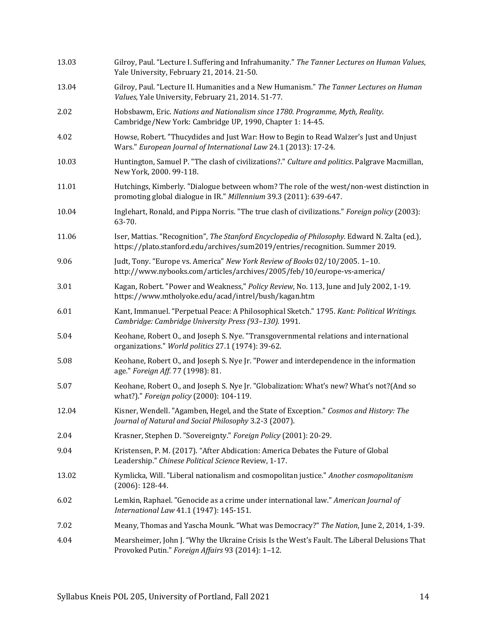| 13.03 | Gilroy, Paul. "Lecture I. Suffering and Infrahumanity." The Tanner Lectures on Human Values,<br>Yale University, February 21, 2014. 21-50.                                     |
|-------|--------------------------------------------------------------------------------------------------------------------------------------------------------------------------------|
| 13.04 | Gilroy, Paul. "Lecture II. Humanities and a New Humanism." The Tanner Lectures on Human<br>Values, Yale University, February 21, 2014. 51-77.                                  |
| 2.02  | Hobsbawm, Eric. Nations and Nationalism since 1780. Programme, Myth, Reality.<br>Cambridge/New York: Cambridge UP, 1990, Chapter 1: 14-45.                                     |
| 4.02  | Howse, Robert. "Thucydides and Just War: How to Begin to Read Walzer's Just and Unjust<br>Wars." European Journal of International Law 24.1 (2013): 17-24.                     |
| 10.03 | Huntington, Samuel P. "The clash of civilizations?." Culture and politics. Palgrave Macmillan,<br>New York, 2000. 99-118.                                                      |
| 11.01 | Hutchings, Kimberly. "Dialogue between whom? The role of the west/non-west distinction in<br>promoting global dialogue in IR." Millennium 39.3 (2011): 639-647.                |
| 10.04 | Inglehart, Ronald, and Pippa Norris. "The true clash of civilizations." Foreign policy (2003):<br>63-70.                                                                       |
| 11.06 | Iser, Mattias. "Recognition", The Stanford Encyclopedia of Philosophy. Edward N. Zalta (ed.),<br>https://plato.stanford.edu/archives/sum2019/entries/recognition. Summer 2019. |
| 9.06  | Judt, Tony. "Europe vs. America" New York Review of Books 02/10/2005. 1-10.<br>http://www.nybooks.com/articles/archives/2005/feb/10/europe-vs-america/                         |
| 3.01  | Kagan, Robert. "Power and Weakness," Policy Review, No. 113, June and July 2002, 1-19.<br>https://www.mtholyoke.edu/acad/intrel/bush/kagan.htm                                 |
| 6.01  | Kant, Immanuel. "Perpetual Peace: A Philosophical Sketch." 1795. Kant: Political Writings.<br>Cambridge: Cambridge University Press (93-130). 1991.                            |
| 5.04  | Keohane, Robert O., and Joseph S. Nye. "Transgovernmental relations and international<br>organizations." World politics 27.1 (1974): 39-62.                                    |
| 5.08  | Keohane, Robert O., and Joseph S. Nye Jr. "Power and interdependence in the information<br>age." Foreign Aff. 77 (1998): 81.                                                   |
| 5.07  | Keohane, Robert O., and Joseph S. Nye Jr. "Globalization: What's new? What's not?(And so<br>what?)." Foreign policy (2000): 104-119.                                           |
| 12.04 | Kisner, Wendell. "Agamben, Hegel, and the State of Exception." Cosmos and History: The<br>Journal of Natural and Social Philosophy 3.2-3 (2007).                               |
| 2.04  | Krasner, Stephen D. "Sovereignty." Foreign Policy (2001): 20-29.                                                                                                               |
| 9.04  | Kristensen, P. M. (2017). "After Abdication: America Debates the Future of Global<br>Leadership." Chinese Political Science Review, 1-17.                                      |
| 13.02 | Kymlicka, Will. "Liberal nationalism and cosmopolitan justice." Another cosmopolitanism<br>$(2006): 128-44.$                                                                   |
| 6.02  | Lemkin, Raphael. "Genocide as a crime under international law." American Journal of<br>International Law 41.1 (1947): 145-151.                                                 |
| 7.02  | Meany, Thomas and Yascha Mounk. "What was Democracy?" The Nation, June 2, 2014, 1-39.                                                                                          |
| 4.04  | Mearsheimer, John J. "Why the Ukraine Crisis Is the West's Fault. The Liberal Delusions That<br>Provoked Putin." Foreign Affairs 93 (2014): 1-12.                              |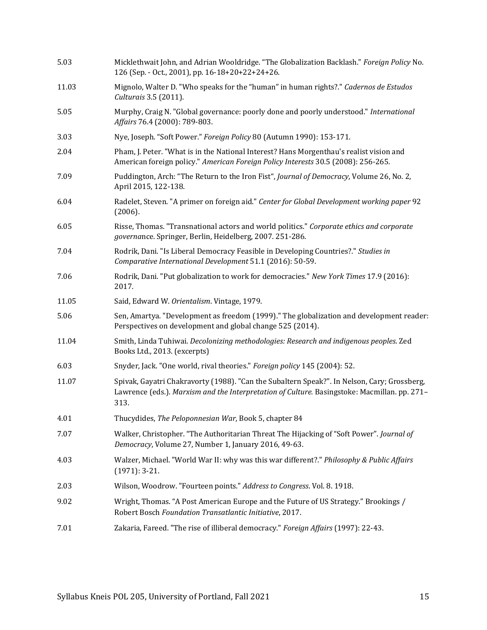| 5.03  | Micklethwait John, and Adrian Wooldridge. "The Globalization Backlash." Foreign Policy No.<br>126 (Sep. - Oct., 2001), pp. 16-18+20+22+24+26.                                                       |
|-------|-----------------------------------------------------------------------------------------------------------------------------------------------------------------------------------------------------|
| 11.03 | Mignolo, Walter D. "Who speaks for the "human" in human rights?." Cadernos de Estudos<br>Culturais 3.5 (2011).                                                                                      |
| 5.05  | Murphy, Craig N. "Global governance: poorly done and poorly understood." International<br>Affairs 76.4 (2000): 789-803.                                                                             |
| 3.03  | Nye, Joseph. "Soft Power." Foreign Policy 80 (Autumn 1990): 153-171.                                                                                                                                |
| 2.04  | Pham, J. Peter. "What is in the National Interest? Hans Morgenthau's realist vision and<br>American foreign policy." American Foreign Policy Interests 30.5 (2008): 256-265.                        |
| 7.09  | Puddington, Arch: "The Return to the Iron Fist", Journal of Democracy, Volume 26, No. 2,<br>April 2015, 122-138.                                                                                    |
| 6.04  | Radelet, Steven. "A primer on foreign aid." Center for Global Development working paper 92<br>(2006).                                                                                               |
| 6.05  | Risse, Thomas. "Transnational actors and world politics." Corporate ethics and corporate<br>governance. Springer, Berlin, Heidelberg, 2007. 251-286.                                                |
| 7.04  | Rodrik, Dani. "Is Liberal Democracy Feasible in Developing Countries?." Studies in<br>Comparative International Development 51.1 (2016): 50-59.                                                     |
| 7.06  | Rodrik, Dani. "Put globalization to work for democracies." New York Times 17.9 (2016):<br>2017.                                                                                                     |
| 11.05 | Said, Edward W. Orientalism. Vintage, 1979.                                                                                                                                                         |
| 5.06  | Sen, Amartya. "Development as freedom (1999)." The globalization and development reader:<br>Perspectives on development and global change 525 (2014).                                               |
| 11.04 | Smith, Linda Tuhiwai. Decolonizing methodologies: Research and indigenous peoples. Zed<br>Books Ltd., 2013. (excerpts)                                                                              |
| 6.03  | Snyder, Jack. "One world, rival theories." Foreign policy 145 (2004): 52.                                                                                                                           |
| 11.07 | Spivak, Gayatri Chakravorty (1988). "Can the Subaltern Speak?". In Nelson, Cary; Grossberg,<br>Lawrence (eds.). Marxism and the Interpretation of Culture. Basingstoke: Macmillan. pp. 271-<br>313. |
| 4.01  | Thucydides, The Peloponnesian War, Book 5, chapter 84                                                                                                                                               |
| 7.07  | Walker, Christopher. "The Authoritarian Threat The Hijacking of "Soft Power". Journal of<br>Democracy, Volume 27, Number 1, January 2016, 49-63.                                                    |
| 4.03  | Walzer, Michael. "World War II: why was this war different?." Philosophy & Public Affairs<br>$(1971): 3-21.$                                                                                        |
| 2.03  | Wilson, Woodrow. "Fourteen points." Address to Congress. Vol. 8. 1918.                                                                                                                              |
| 9.02  | Wright, Thomas. "A Post American Europe and the Future of US Strategy." Brookings /<br>Robert Bosch Foundation Transatlantic Initiative, 2017.                                                      |
| 7.01  | Zakaria, Fareed. "The rise of illiberal democracy." Foreign Affairs (1997): 22-43.                                                                                                                  |
|       |                                                                                                                                                                                                     |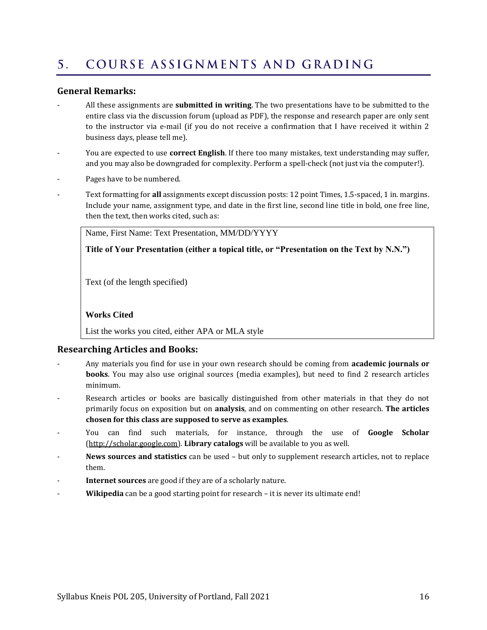#### <span id="page-15-0"></span>COURSE ASSIGNMENTS AND GRADING  $5<sub>1</sub>$

#### **General Remarks:**

- All these assignments are **submitted in writing**. The two presentations have to be submitted to the entire class via the discussion forum (upload as PDF), the response and research paper are only sent to the instructor via e-mail (if you do not receive a confirmation that I have received it within 2 business days, please tell me).
- You are expected to use **correct English**. If there too many mistakes, text understanding may suffer, and you may also be downgraded for complexity. Perform a spell-check (not just via the computer!).
- Pages have to be numbered.
- Text formatting for **all** assignments except discussion posts: 12 point Times, 1.5-spaced, 1 in. margins. Include your name, assignment type, and date in the first line, second line title in bold, one free line, then the text, then works cited, such as:

Name, First Name: Text Presentation, MM/DD/YYYY

**Title of Your Presentation (either a topical title, or "Presentation on the Text by N.N.")**

Text (of the length specified)

#### **Works Cited**

List the works you cited, either APA or MLA style

#### **Researching Articles and Books:**

- Any materials you find for use in your own research should be coming from **academic journals or books**. You may also use original sources (media examples), but need to find 2 research articles minimum.
- Research articles or books are basically distinguished from other materials in that they do not primarily focus on exposition but on **analysis**, and on commenting on other research. **The articles chosen for this class are supposed to serve as examples**.
- You can find such materials, for instance, through the use of **Google Scholar** [\(http://scholar.google.com\)](http://scholar.google.com/). **Library catalogs** will be available to you as well.
- **News sources and statistics** can be used but only to supplement research articles, not to replace them.
- **Internet sources** are good if they are of a scholarly nature.
- Wikipedia can be a good starting point for research it is never its ultimate end!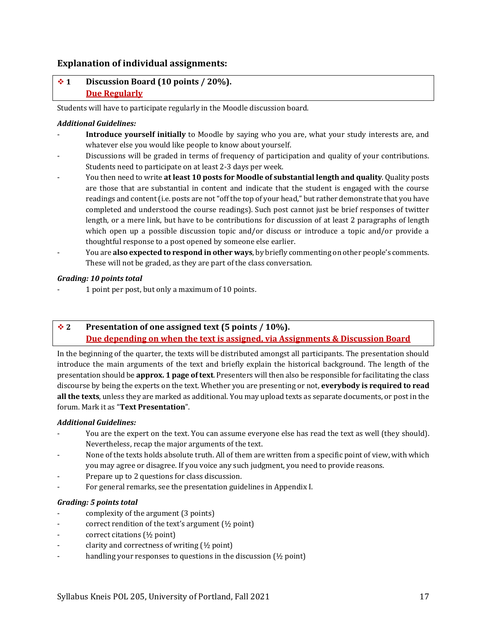#### **Explanation of individual assignments:**

#### ❖ **1 Discussion Board (10 points / 20%). Due Regularly**

Students will have to participate regularly in the Moodle discussion board.

#### *Additional Guidelines:*

- Introduce yourself initially to Moodle by saying who you are, what your study interests are, and whatever else you would like people to know about yourself.
- Discussions will be graded in terms of frequency of participation and quality of your contributions. Students need to participate on at least 2-3 days per week.
- You then need to write **at least 10 posts for Moodle of substantial length and quality**. Quality posts are those that are substantial in content and indicate that the student is engaged with the course readings and content (i.e. posts are not "off the top of your head," but rather demonstrate that you have completed and understood the course readings). Such post cannot just be brief responses of twitter length, or a mere link, but have to be contributions for discussion of at least 2 paragraphs of length which open up a possible discussion topic and/or discuss or introduce a topic and/or provide a thoughtful response to a post opened by someone else earlier.
- You are **also expected to respond in other ways**, by briefly commenting on other people's comments. These will not be graded, as they are part of the class conversation.

#### *Grading: 10 points total*

- 1 point per post, but only a maximum of 10 points.

#### ❖ **2 Presentation of one assigned text (5 points / 10%). Due depending on when the text is assigned, via Assignments & Discussion Board**

In the beginning of the quarter, the texts will be distributed amongst all participants. The presentation should introduce the main arguments of the text and briefly explain the historical background. The length of the presentation should be **approx. 1 page of text**. Presenters will then also be responsible for facilitating the class discourse by being the experts on the text. Whether you are presenting or not, **everybody is required to read all the texts**, unless they are marked as additional. You may upload texts as separate documents, or post in the forum. Mark it as "**Text Presentation**".

#### *Additional Guidelines:*

- You are the expert on the text. You can assume everyone else has read the text as well (they should). Nevertheless, recap the major arguments of the text.
- None of the texts holds absolute truth. All of them are written from a specific point of view, with which you may agree or disagree. If you voice any such judgment, you need to provide reasons.
- Prepare up to 2 questions for class discussion.
- For general remarks, see the presentation guidelines in Appendix I.

#### *Grading: 5 points total*

- complexity of the argument (3 points)
- correct rendition of the text's argument (½ point)
- correct citations (½ point)
- clarity and correctness of writing  $(\frac{1}{2}$  point)
- handling your responses to questions in the discussion  $(½$  point)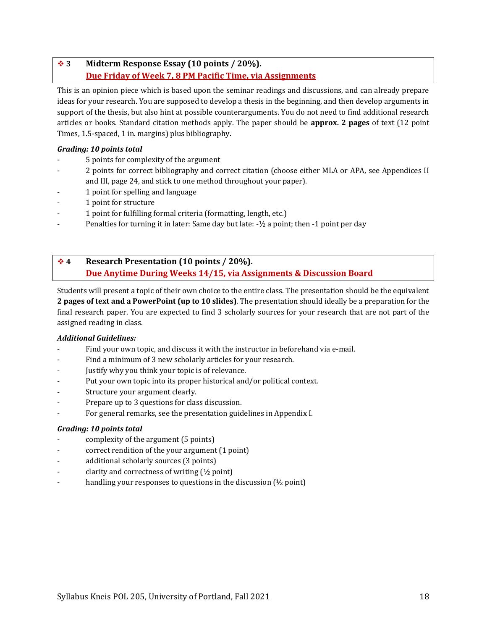### ❖ **3 Midterm Response Essay (10 points / 20%). Due Friday of Week 7, 8 PM Pacific Time, via Assignments**

This is an opinion piece which is based upon the seminar readings and discussions, and can already prepare ideas for your research. You are supposed to develop a thesis in the beginning, and then develop arguments in support of the thesis, but also hint at possible counterarguments. You do not need to find additional research articles or books. Standard citation methods apply. The paper should be **approx. 2 pages** of text (12 point Times, 1.5-spaced, 1 in. margins) plus bibliography.

#### *Grading: 10 points total*

- 5 points for complexity of the argument
- 2 points for correct bibliography and correct citation (choose either MLA or APA, see Appendices II and III, pag[e 24,](#page-23-0) and stick to one method throughout your paper).
- 1 point for spelling and language
- 1 point for structure
- 1 point for fulfilling formal criteria (formatting, length, etc.)
- Penalties for turning it in later: Same day but late: -½ a point; then -1 point per day

### ❖ **4 Research Presentation (10 points / 20%). Due Anytime During Weeks 14/15, via Assignments & Discussion Board**

Students will present a topic of their own choice to the entire class. The presentation should be the equivalent **2 pages of text and a PowerPoint (up to 10 slides)**. The presentation should ideally be a preparation for the final research paper. You are expected to find 3 scholarly sources for your research that are not part of the assigned reading in class.

#### *Additional Guidelines:*

- Find your own topic, and discuss it with the instructor in beforehand via e-mail.
- Find a minimum of 3 new scholarly articles for your research.
- Justify why you think your topic is of relevance.
- Put your own topic into its proper historical and/or political context.
- Structure your argument clearly.
- Prepare up to 3 questions for class discussion.
- For general remarks, see the presentation guidelines in Appendix I.

#### *Grading: 10 points total*

- complexity of the argument (5 points)
- correct rendition of the your argument (1 point)
- additional scholarly sources (3 points)
- clarity and correctness of writing  $(½$  point)
- handling your responses to questions in the discussion ( $\frac{1}{2}$  point)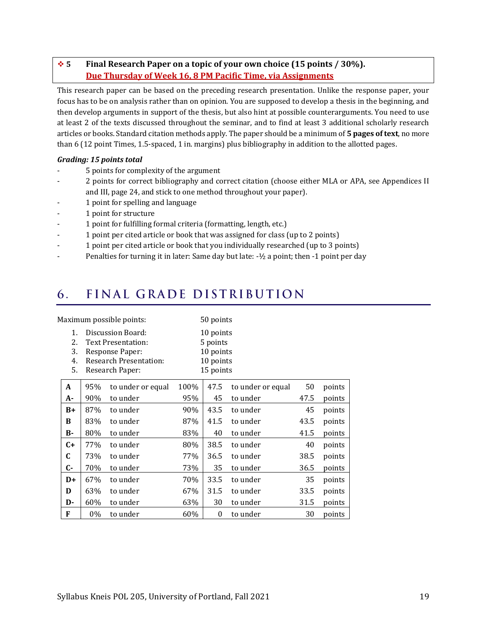### ❖ **5 Final Research Paper on a topic of your own choice (15 points / 30%). Due Thursday of Week 16, 8 PM Pacific Time, via Assignments**

This research paper can be based on the preceding research presentation. Unlike the response paper, your focus has to be on analysis rather than on opinion. You are supposed to develop a thesis in the beginning, and then develop arguments in support of the thesis, but also hint at possible counterarguments. You need to use at least 2 of the texts discussed throughout the seminar, and to find at least 3 additional scholarly research articles or books. Standard citation methods apply. The paper should be a minimum of **5 pages of text**, no more than 6 (12 point Times, 1.5-spaced, 1 in. margins) plus bibliography in addition to the allotted pages.

#### *Grading: 15 points total*

- 5 points for complexity of the argument
- 2 points for correct bibliography and correct citation (choose either MLA or APA, see Appendices II and III, pag[e 24,](#page-23-0) and stick to one method throughout your paper).
- 1 point for spelling and language
- 1 point for structure
- 1 point for fulfilling formal criteria (formatting, length, etc.)
- 1 point per cited article or book that was assigned for class (up to 2 points)
- 1 point per cited article or book that you individually researched (up to 3 points)
- Penalties for turning it in later: Same day but late: -1/2 a point; then -1 point per day

#### <span id="page-18-0"></span>FINAL GRADE DISTRIBUTION 6.

| Maximum possible points:   |                                                                                                                       |                   |                                                              | 50 points        |                   |      |        |
|----------------------------|-----------------------------------------------------------------------------------------------------------------------|-------------------|--------------------------------------------------------------|------------------|-------------------|------|--------|
| 1.<br>2.<br>3.<br>4.<br>5. | Discussion Board:<br><b>Text Presentation:</b><br>Response Paper:<br><b>Research Presentation:</b><br>Research Paper: |                   | 10 points<br>5 points<br>10 points<br>10 points<br>15 points |                  |                   |      |        |
| A                          | 95%                                                                                                                   | to under or equal | 100%                                                         | 47.5             | to under or equal | 50   | points |
| A-                         | 90%                                                                                                                   | to under          | 95%                                                          | 45               | to under          | 47.5 | points |
| $B+$                       | 87%                                                                                                                   | to under          | 90%                                                          | 43.5             | to under          | 45   | points |
| B                          | 83%                                                                                                                   | to under          | 87%                                                          | 41.5             | to under          | 43.5 | points |
| в-                         | 80%                                                                                                                   | to under          | 83%                                                          | 40               | to under          | 41.5 | points |
| $C+$                       | 77%                                                                                                                   | to under          | 80%                                                          | 38.5             | to under          | 40   | points |
| C                          | 73%                                                                                                                   | to under          | 77%                                                          | 36.5             | to under          | 38.5 | points |
| C-                         | 70%                                                                                                                   | to under          | 73%                                                          | 35               | to under          | 36.5 | points |
| $D+$                       | 67%                                                                                                                   | to under          | 70%                                                          | 33.5             | to under          | 35   | points |
| D                          | 63%                                                                                                                   | to under          | 67%                                                          | 31.5             | to under          | 33.5 | points |
| D-                         | 60%                                                                                                                   | to under          | 63%                                                          | 30               | to under          | 31.5 | points |
| F                          | $0\%$                                                                                                                 | to under          | 60%                                                          | $\boldsymbol{0}$ | to under          | 30   | points |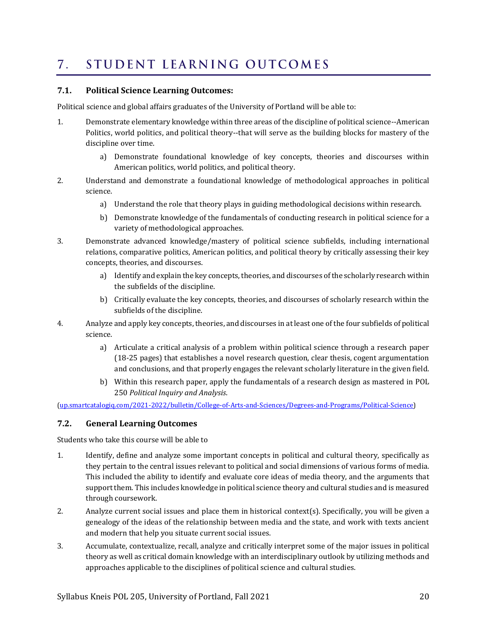#### <span id="page-19-0"></span>STUDENT LEARNING OUTCOMES  $7_{\odot}$

#### **7.1. Political Science Learning Outcomes:**

Political science and global affairs graduates of the University of Portland will be able to:

- 1. Demonstrate elementary knowledge within three areas of the discipline of political science--American Politics, world politics, and political theory--that will serve as the building blocks for mastery of the discipline over time.
	- a) Demonstrate foundational knowledge of key concepts, theories and discourses within American politics, world politics, and political theory.
- 2. Understand and demonstrate a foundational knowledge of methodological approaches in political science.
	- a) Understand the role that theory plays in guiding methodological decisions within research.
	- b) Demonstrate knowledge of the fundamentals of conducting research in political science for a variety of methodological approaches.
- 3. Demonstrate advanced knowledge/mastery of political science subfields, including international relations, comparative politics, American politics, and political theory by critically assessing their key concepts, theories, and discourses.
	- a) Identify and explain the key concepts, theories, and discourses of the scholarly research within the subfields of the discipline.
	- b) Critically evaluate the key concepts, theories, and discourses of scholarly research within the subfields of the discipline.
- 4. Analyze and apply key concepts, theories, and discourses in at least one of the four subfields of political science.
	- a) Articulate a critical analysis of a problem within political science through a research paper (18-25 pages) that establishes a novel research question, clear thesis, cogent argumentation and conclusions, and that properly engages the relevant scholarly literature in the given field.
	- b) Within this research paper, apply the fundamentals of a research design as mastered in [POL](http://up.smartcatalogiq.com/2021-2022/bulletin/Courses/POL-Political-Science/Introductory-Courses/POL-250)  [250](http://up.smartcatalogiq.com/2021-2022/bulletin/Courses/POL-Political-Science/Introductory-Courses/POL-250) *Political Inquiry and Analysis*.

[\(up.smartcatalogiq.com/2021-2022/bulletin/College-of-Arts-and-Sciences/Degrees-and-Programs/Political-Science\)](http://up.smartcatalogiq.com/2021-2022/bulletin/College-of-Arts-and-Sciences/Degrees-and-Programs/Political-Science)

#### **7.2. General Learning Outcomes**

Students who take this course will be able to

- 1. Identify, define and analyze some important concepts in political and cultural theory, specifically as they pertain to the central issues relevant to political and social dimensions of various forms of media. This included the ability to identify and evaluate core ideas of media theory, and the arguments that support them. This includes knowledge in political science theory and cultural studies and is measured through coursework.
- 2. Analyze current social issues and place them in historical context(s). Specifically, you will be given a genealogy of the ideas of the relationship between media and the state, and work with texts ancient and modern that help you situate current social issues.
- 3. Accumulate, contextualize, recall, analyze and critically interpret some of the major issues in political theory as well as critical domain knowledge with an interdisciplinary outlook by utilizing methods and approaches applicable to the disciplines of political science and cultural studies.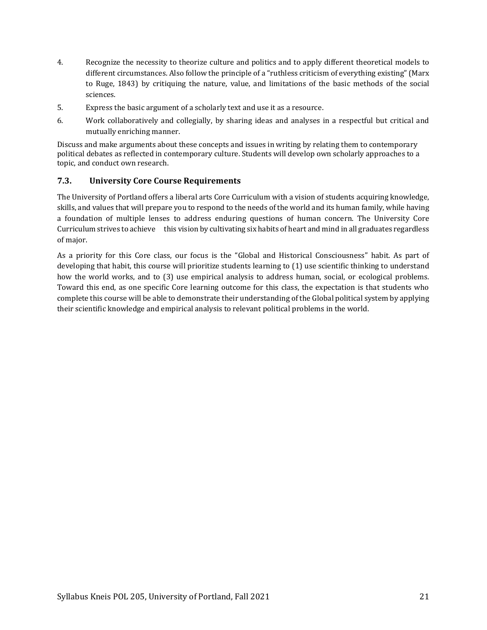- 4. Recognize the necessity to theorize culture and politics and to apply different theoretical models to different circumstances. Also follow the principle of a "ruthless criticism of everything existing" (Marx to Ruge, 1843) by critiquing the nature, value, and limitations of the basic methods of the social sciences.
- 5. Express the basic argument of a scholarly text and use it as a resource.
- 6. Work collaboratively and collegially, by sharing ideas and analyses in a respectful but critical and mutually enriching manner.

Discuss and make arguments about these concepts and issues in writing by relating them to contemporary political debates as reflected in contemporary culture. Students will develop own scholarly approaches to a topic, and conduct own research.

#### **7.3. University Core Course Requirements**

The University of Portland offers a liberal arts Core Curriculum with a vision of students acquiring knowledge, skills, and values that will prepare you to respond to the needs of the world and its human family, while having a foundation of multiple lenses to address enduring questions of human concern. The University Core Curriculum strives to achieve this vision by cultivating six habits of heart and mind in all graduates regardless of major.

As a priority for this Core class, our focus is the "Global and Historical Consciousness" habit. As part of developing that habit, this course will prioritize students learning to (1) use scientific thinking to understand how the world works, and to (3) use empirical analysis to address human, social, or ecological problems. Toward this end, as one specific Core learning outcome for this class, the expectation is that students who complete this course will be able to demonstrate their understanding of the Global political system by applying their scientific knowledge and empirical analysis to relevant political problems in the world.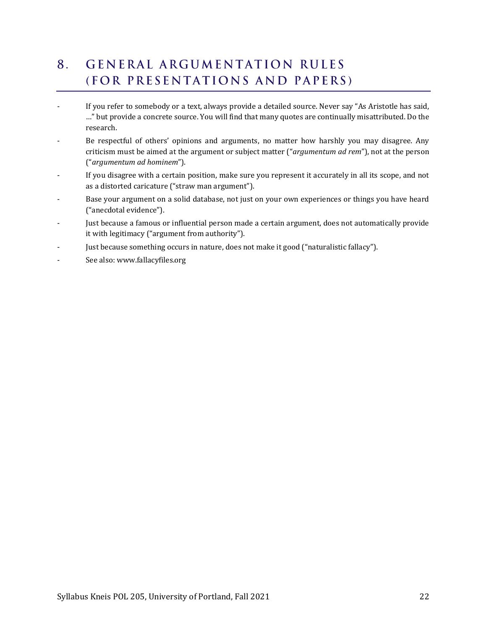#### <span id="page-21-0"></span>**GENERAL ARGUMENTATION RULES** 8. (FOR PRESENTATIONS AND PAPERS)

- If you refer to somebody or a text, always provide a detailed source. Never say "As Aristotle has said, …" but provide a concrete source. You will find that many quotes are continually misattributed. Do the research.
- Be respectful of others' opinions and arguments, no matter how harshly you may disagree. Any criticism must be aimed at the argument or subject matter ("*argumentum ad rem*"), not at the person ("*argumentum ad hominem*").
- If you disagree with a certain position, make sure you represent it accurately in all its scope, and not as a distorted caricature ("straw man argument").
- Base your argument on a solid database, not just on your own experiences or things you have heard ("anecdotal evidence").
- Just because a famous or influential person made a certain argument, does not automatically provide it with legitimacy ("argument from authority").
- Just because something occurs in nature, does not make it good ("naturalistic fallacy").
- See also: www.fallacyfiles.org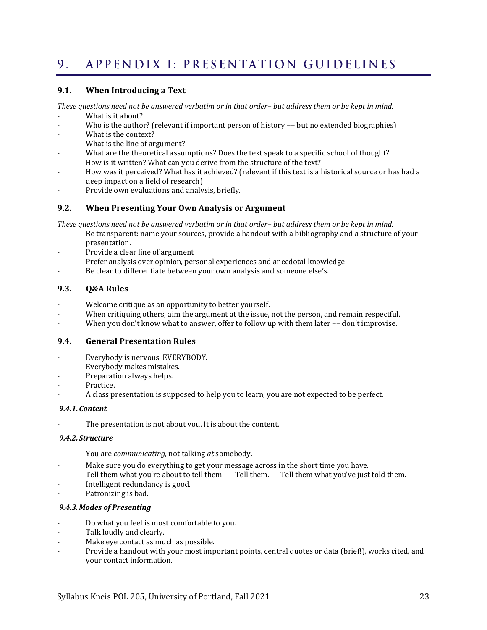#### <span id="page-22-0"></span>APPENDIX I: PRESENTATION GUIDELINES 9.

#### **9.1. When Introducing a Text**

*These questions need not be answered verbatim or in that order– but address them or be kept in mind.*

- What is it about?
- Who is the author? (relevant if important person of history -- but no extended biographies)
- What is the context?
- What is the line of argument?
- What are the theoretical assumptions? Does the text speak to a specific school of thought?
- How is it written? What can you derive from the structure of the text?
- How was it perceived? What has it achieved? (relevant if this text is a historical source or has had a deep impact on a field of research)
- Provide own evaluations and analysis, briefly.

#### **9.2. When Presenting Your Own Analysis or Argument**

*These questions need not be answered verbatim or in that order– but address them or be kept in mind.*

- Be transparent: name your sources, provide a handout with a bibliography and a structure of your presentation.
- Provide a clear line of argument
- Prefer analysis over opinion, personal experiences and anecdotal knowledge
- Be clear to differentiate between your own analysis and someone else's.

#### **9.3. Q&A Rules**

- Welcome critique as an opportunity to better yourself.
- When critiquing others, aim the argument at the issue, not the person, and remain respectful.
- When you don't know what to answer, offer to follow up with them later -- don't improvise.

#### **9.4. General Presentation Rules**

- Everybody is nervous. EVERYBODY.
- Everybody makes mistakes.
- Preparation always helps.
- Practice.
- A class presentation is supposed to help you to learn, you are not expected to be perfect.

#### *9.4.1.Content*

The presentation is not about you. It is about the content.

#### *9.4.2.Structure*

- You are *communicating*, not talking *at* somebody.
- Make sure you do everything to get your message across in the short time you have.
- Tell them what you're about to tell them. -- Tell them. -- Tell them what you've just told them.
- Intelligent redundancy is good.
- Patronizing is bad.

#### *9.4.3.Modes of Presenting*

- Do what you feel is most comfortable to you.
- Talk loudly and clearly.
- Make eye contact as much as possible.
- Provide a handout with your most important points, central quotes or data (brief!), works cited, and your contact information.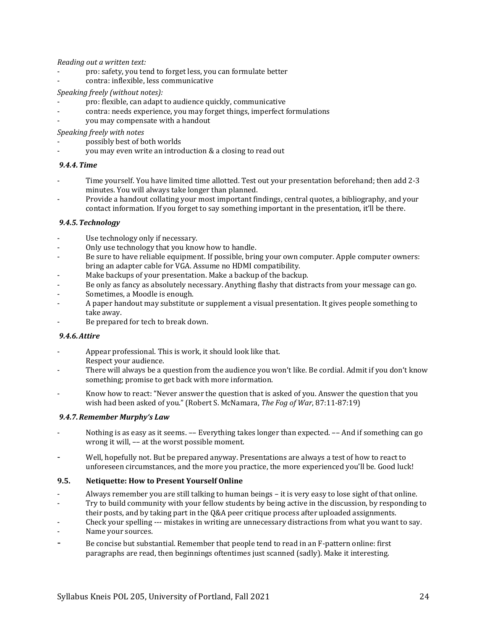*Reading out a written text:*

- pro: safety, you tend to forget less, you can formulate better
- contra: inflexible, less communicative

#### *Speaking freely (without notes):*

- pro: flexible, can adapt to audience quickly, communicative
- contra: needs experience, you may forget things, imperfect formulations
- you may compensate with a handout

*Speaking freely with notes*

- possibly best of both worlds
- you may even write an introduction & a closing to read out

#### *9.4.4.Time*

- Time yourself. You have limited time allotted. Test out your presentation beforehand; then add 2-3 minutes. You will always take longer than planned.
- Provide a handout collating your most important findings, central quotes, a bibliography, and your contact information. If you forget to say something important in the presentation, it'll be there.

#### *9.4.5.Technology*

- Use technology only if necessary.
- Only use technology that you know how to handle.
- Be sure to have reliable equipment. If possible, bring your own computer. Apple computer owners: bring an adapter cable for VGA. Assume no HDMI compatibility.
- Make backups of your presentation. Make a backup of the backup.
- Be only as fancy as absolutely necessary. Anything flashy that distracts from your message can go.
- Sometimes, a Moodle is enough.
- A paper handout may substitute or supplement a visual presentation. It gives people something to take away.
- Be prepared for tech to break down.

#### *9.4.6.Attire*

- Appear professional. This is work, it should look like that. Respect your audience.
- There will always be a question from the audience you won't like. Be cordial. Admit if you don't know something; promise to get back with more information.
- Know how to react: "Never answer the question that is asked of you. Answer the question that you wish had been asked of you." (Robert S. McNamara, *The Fog of War*, 87:11-87:19)

#### *9.4.7.Remember Murphy's Law*

- Nothing is as easy as it seems. -- Everything takes longer than expected. -- And if something can go wrong it will, –– at the worst possible moment.
- Well, hopefully not. But be prepared anyway. Presentations are always a test of how to react to unforeseen circumstances, and the more you practice, the more experienced you'll be. Good luck!

#### **9.5. Netiquette: How to Present Yourself Online**

- Always remember you are still talking to human beings it is very easy to lose sight of that online.
- Try to build community with your fellow students by being active in the discussion, by responding to
- their posts, and by taking part in the Q&A peer critique process after uploaded assignments.
- Check your spelling --- mistakes in writing are unnecessary distractions from what you want to say.
- Name your sources.
- <span id="page-23-0"></span>Be concise but substantial. Remember that people tend to read in an F-pattern online: first paragraphs are read, then beginnings oftentimes just scanned (sadly). Make it interesting.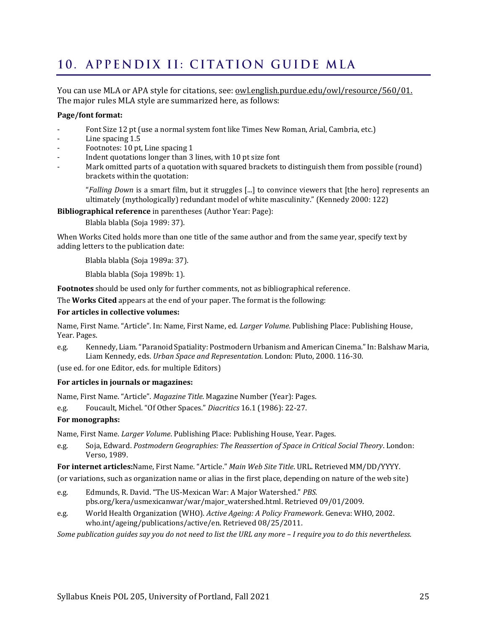# <span id="page-24-0"></span>10. APPENDIX II: CITATION GUIDE MLA

You can use MLA or APA style for citations, see: [owl.english.purdue.edu/owl/resource/560/01.](http://owl.english.purdue.edu/owl/resource/560/01) The major rules MLA style are summarized here, as follows:

#### **Page/font format:**

- Font Size 12 pt (use a normal system font like Times New Roman, Arial, Cambria, etc.)
- Line spacing 1.5
- Footnotes: 10 pt, Line spacing 1
- Indent quotations longer than 3 lines, with 10 pt size font
- Mark omitted parts of a quotation with squared brackets to distinguish them from possible (round) brackets within the quotation:

"*Falling Down* is a smart film, but it struggles [...] to convince viewers that [the hero] represents an ultimately (mythologically) redundant model of white masculinity." (Kennedy 2000: 122)

**Bibliographical reference** in parentheses (Author Year: Page):

Blabla blabla (Soja 1989: 37).

When Works Cited holds more than one title of the same author and from the same year, specify text by adding letters to the publication date:

Blabla blabla (Soja 1989a: 37).

Blabla blabla (Soja 1989b: 1).

**Footnotes** should be used only for further comments, not as bibliographical reference.

The **Works Cited** appears at the end of your paper. The format is the following:

#### **For articles in collective volumes:**

Name, First Name. "Article". In: Name, First Name, ed. *Larger Volume*. Publishing Place: Publishing House, Year. Pages.

e.g. Kennedy, Liam. "Paranoid Spatiality: Postmodern Urbanism and American Cinema." In: Balshaw Maria, Liam Kennedy, eds. *Urban Space and Representation.* London: Pluto, 2000. 116-30.

(use ed. for one Editor, eds. for multiple Editors)

#### **For articles in journals or magazines:**

Name, First Name. "Article". *Magazine Title*. Magazine Number (Year): Pages.

e.g. Foucault, Michel. "Of Other Spaces." *Diacritics* 16.1 (1986): 22-27.

#### **For monographs:**

Name, First Name. *Larger Volume*. Publishing Place: Publishing House, Year. Pages.

e.g. Soja, Edward. *Postmodern Geographies: The Reassertion of Space in Critical Social Theory*. London: Verso, 1989.

**For internet articles:**Name, First Name. "Article." *Main Web Site Title*. URL. Retrieved MM/DD/YYYY.

(or variations, such as organization name or alias in the first place, depending on nature of the web site)

- e.g. Edmunds, R. David. "The US-Mexican War: A Major Watershed." *PBS.*  pbs.org/kera/usmexicanwar/war/major\_watershed.html. Retrieved 09/01/2009.
- e.g. World Health Organization (WHO). *Active Ageing: A Policy Framework*. Geneva: WHO, 2002. who.int/ageing/publications/active/en. Retrieved 08/25/2011.

*Some publication guides say you do not need to list the URL any more – I require you to do this nevertheless.*